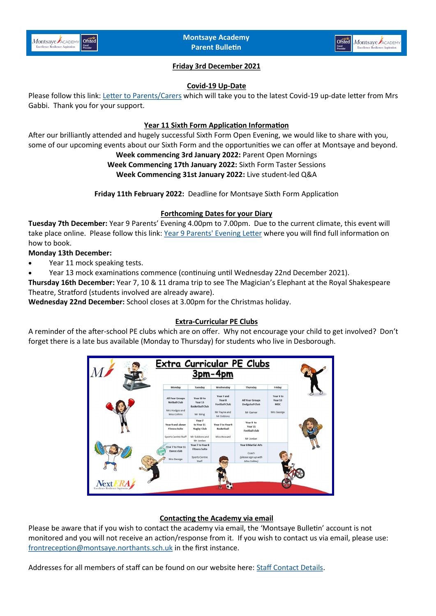



# **Friday 3rd December 2021**

#### **Covid-19 Up-Date**

Please follow this link: [Letter to Parents/Carers](https://www.montsaye.northants.sch.uk/assets/Documents/Newsletters/MKG-ltr-to-parents-29.11.2021.pdf) which will take you to the latest Covid-19 up-date letter from Mrs Gabbi. Thank you for your support.

### **Year 11 Sixth Form Application Information**

After our brilliantly attended and hugely successful Sixth Form Open Evening, we would like to share with you, some of our upcoming events about our Sixth Form and the opportunities we can offer at Montsaye and beyond.

# **Week commencing 3rd January 2022:** Parent Open Mornings

**Week Commencing 17th January 2022:** Sixth Form Taster Sessions **Week Commencing 31st January 2022:** Live student-led Q&A

**Friday 11th February 2022:** Deadline for Montsaye Sixth Form Application

## **Forthcoming Dates for your Diary**

**Tuesday 7th December:** Year 9 Parents' Evening 4.00pm to 7.00pm. Due to the current climate, this event will take place online. Please follow this link: [Year 9 Parents' Evening Letter](https://www.montsaye.northants.sch.uk/assets/Documents/Newsletters/Year-9-Parents-Evening-Letter-07.12.21.pdf) where you will find full information on how to book.

## **Monday 13th December:**

- Year 11 mock speaking tests.
- Year 13 mock examinations commence (continuing until Wednesday 22nd December 2021).

**Thursday 16th December:** Year 7, 10 & 11 drama trip to see The Magician's Elephant at the Royal Shakespeare Theatre, Stratford (students involved are already aware).

**Wednesday 22nd December:** School closes at 3.00pm for the Christmas holiday.

### **Extra-Curricular PE Clubs**

A reminder of the after-school PE clubs which are on offer. Why not encourage your child to get involved? Don't forget there is a late bus available (Monday to Thursday) for students who live in Desborough.



# **Contacting the Academy via email**

Please be aware that if you wish to contact the academy via email, the 'Montsaye Bulletin' account is not monitored and you will not receive an action/response from it. If you wish to contact us via email, please use: [frontreception@montsaye.northants.sch.uk](mailto:frontreception@montsaye.northants.sch.uk) in the first instance.

Addresses for all members of staff can be found on our website here: [Staff Contact Details.](https://www.montsaye.northants.sch.uk/about-us/contact-us/key-contacts/)